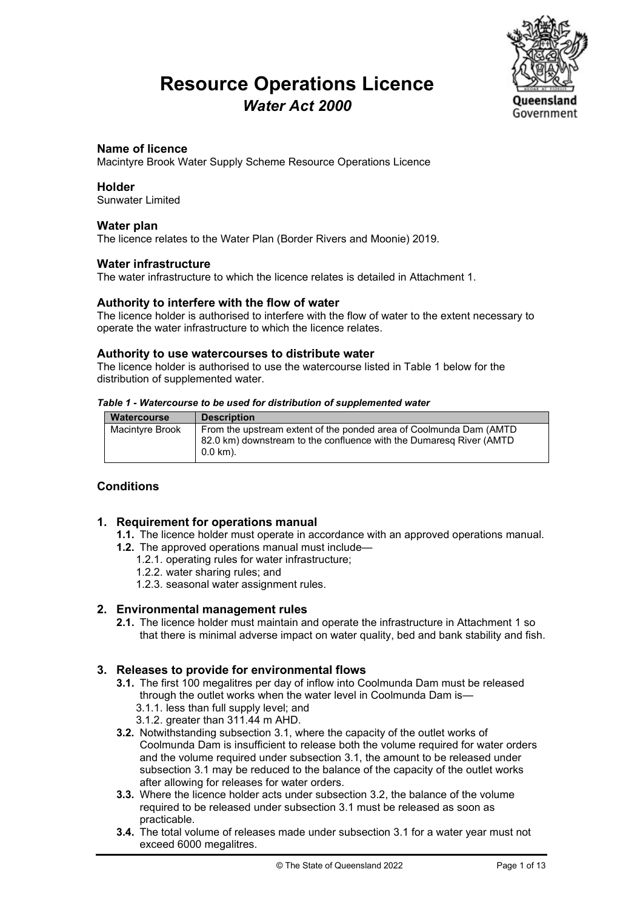# **Resource Operations Licence** *Water Act 2000*



#### **Name of licence**

Macintyre Brook Water Supply Scheme Resource Operations Licence

#### **Holder**

Sunwater Limited

#### **Water plan**

The licence relates to the Water Plan (Border Rivers and Moonie) 2019.

#### **Water infrastructure**

The water infrastructure to which the licence relates is detailed in Attachment 1.

#### **Authority to interfere with the flow of water**

The licence holder is authorised to interfere with the flow of water to the extent necessary to operate the water infrastructure to which the licence relates.

#### **Authority to use watercourses to distribute water**

The licence holder is authorised to use the watercourse listed in Table 1 below for the distribution of supplemented water.

#### *Table 1 - Watercourse to be used for distribution of supplemented water*

| Watercourse            | <b>Description</b>                                                                                                                                     |
|------------------------|--------------------------------------------------------------------------------------------------------------------------------------------------------|
| <b>Macintyre Brook</b> | From the upstream extent of the ponded area of Coolmunda Dam (AMTD)<br>82.0 km) downstream to the confluence with the Dumaresg River (AMTD<br>0.0 km). |

#### **Conditions**

#### **1. Requirement for operations manual**

- **1.1.** The licence holder must operate in accordance with an approved operations manual.
- **1.2.** The approved operations manual must include—
	- 1.2.1. operating rules for water infrastructure;
	- 1.2.2. water sharing rules; and
	- 1.2.3. seasonal water assignment rules.

#### **2. Environmental management rules**

**2.1.** The licence holder must maintain and operate the infrastructure in Attachment 1 so that there is minimal adverse impact on water quality, bed and bank stability and fish.

#### **3. Releases to provide for environmental flows**

- **3.1.** The first 100 megalitres per day of inflow into Coolmunda Dam must be released through the outlet works when the water level in Coolmunda Dam is—
	- 3.1.1. less than full supply level; and
	- 3.1.2. greater than 311.44 m AHD.
- **3.2.** Notwithstanding subsection 3.1, where the capacity of the outlet works of Coolmunda Dam is insufficient to release both the volume required for water orders and the volume required under subsection 3.1, the amount to be released under subsection 3.1 may be reduced to the balance of the capacity of the outlet works after allowing for releases for water orders.
- **3.3.** Where the licence holder acts under subsection 3.2, the balance of the volume required to be released under subsection 3.1 must be released as soon as practicable.
- **3.4.** The total volume of releases made under subsection 3.1 for a water year must not exceed 6000 megalitres.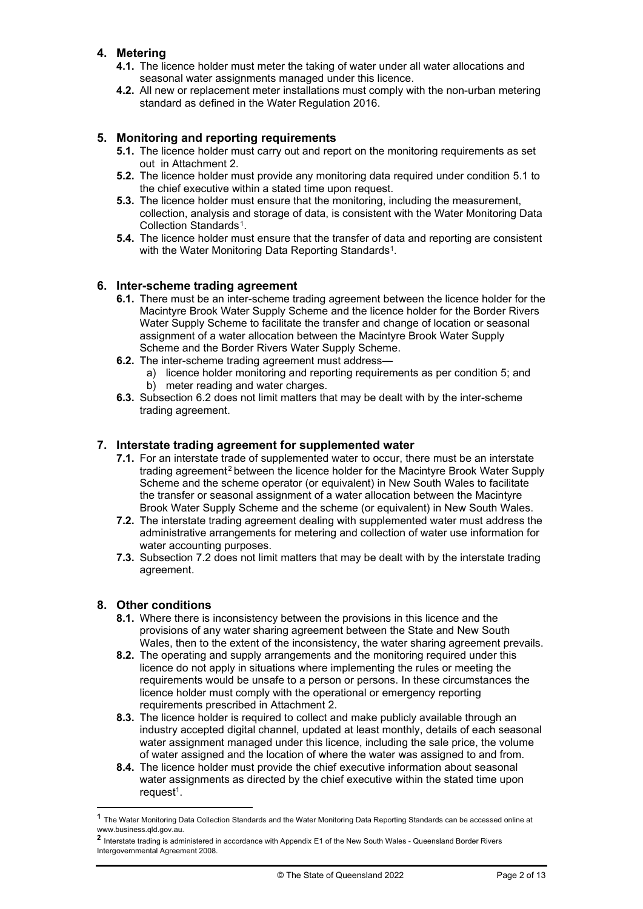### **4. Metering**

- **4.1.** The licence holder must meter the taking of water under all water allocations and seasonal water assignments managed under this licence.
- **4.2.** All new or replacement meter installations must comply with the non-urban metering standard as defined in the Water Regulation 2016.

#### **5. Monitoring and reporting requirements**

- **5.1.** The licence holder must carry out and report on the monitoring requirements as set out in Attachment 2.
- **5.2.** The licence holder must provide any monitoring data required under condition 5.1 to the chief executive within a stated time upon request.
- **5.3.** The licence holder must ensure that the monitoring, including the measurement, collection, analysis and storage of data, is consistent with the Water Monitoring Data Collection Standards<sup>1</sup>.
- **5.4.** The licence holder must ensure that the transfer of data and reporting are consistent with the Water Monitoring Data Reporting Standards<sup>1</sup>.

#### **6. Inter-scheme trading agreement**

- **6.1.** There must be an inter-scheme trading agreement between the licence holder for the Macintyre Brook Water Supply Scheme and the licence holder for the Border Rivers Water Supply Scheme to facilitate the transfer and change of location or seasonal assignment of a water allocation between the Macintyre Brook Water Supply Scheme and the Border Rivers Water Supply Scheme.
- **6.2.** The inter-scheme trading agreement must address
	- a) licence holder monitoring and reporting requirements as per condition 5; and b) meter reading and water charges.
- **6.3.** Subsection 6.2 does not limit matters that may be dealt with by the inter-scheme trading agreement.

### **7. Interstate trading agreement for supplemented water**

- **7.1.** For an interstate trade of supplemented water to occur, there must be an interstate trading agreement[2](#page-1-1) between the licence holder for the Macintyre Brook Water Supply Scheme and the scheme operator (or equivalent) in New South Wales to facilitate the transfer or seasonal assignment of a water allocation between the Macintyre Brook Water Supply Scheme and the scheme (or equivalent) in New South Wales.
- **7.2.** The interstate trading agreement dealing with supplemented water must address the administrative arrangements for metering and collection of water use information for water accounting purposes.
- **7.3.** Subsection 7.2 does not limit matters that may be dealt with by the interstate trading agreement.

#### **8. Other conditions**

- **8.1.** Where there is inconsistency between the provisions in this licence and the provisions of any water sharing agreement between the State and New South Wales, then to the extent of the inconsistency, the water sharing agreement prevails.
- **8.2.** The operating and supply arrangements and the monitoring required under this licence do not apply in situations where implementing the rules or meeting the requirements would be unsafe to a person or persons. In these circumstances the licence holder must comply with the operational or emergency reporting requirements prescribed in Attachment 2.
- **8.3.** The licence holder is required to collect and make publicly available through an industry accepted digital channel, updated at least monthly, details of each seasonal water assignment managed under this licence, including the sale price, the volume of water assigned and the location of where the water was assigned to and from.
- **8.4.** The licence holder must provide the chief executive information about seasonal water assignments as directed by the chief executive within the stated time upon request $1$ .

<span id="page-1-0"></span>**<sup>1</sup>** The Water Monitoring Data Collection Standards and the Water Monitoring Data Reporting Standards can be accessed online at www.business.qld.gov.au.

<span id="page-1-1"></span><sup>2</sup> Interstate trading is administered in accordance with Appendix E1 of the New South Wales - Queensland Border Rivers Intergovernmental Agreement 2008.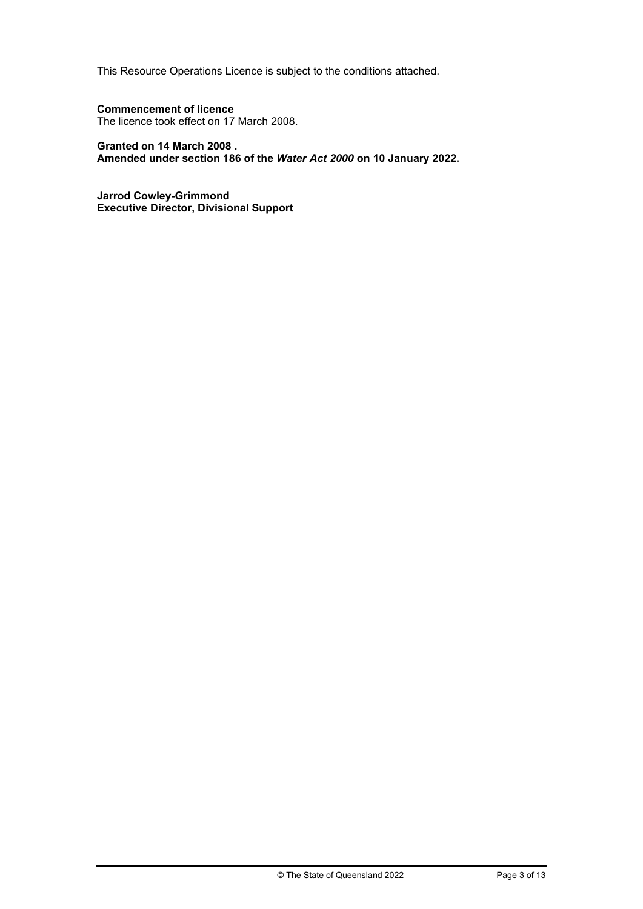This Resource Operations Licence is subject to the conditions attached.

#### **Commencement of licence**

The licence took effect on 17 March 2008.

#### **Granted on 14 March 2008 .**

**Amended under section 186 of the** *Water Act 2000* **on 10 January 2022.**

**Jarrod Cowley-Grimmond Executive Director, Divisional Support**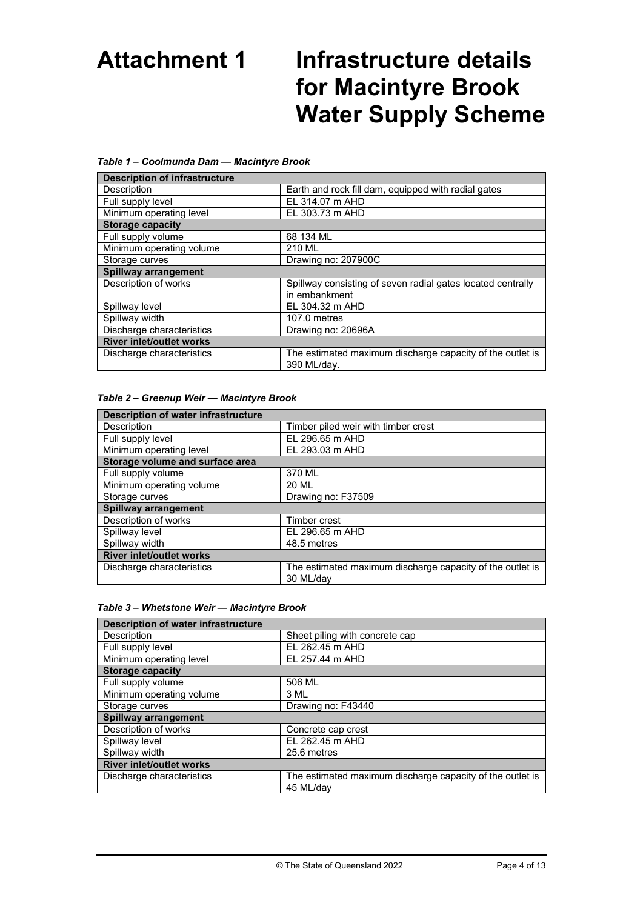# **Attachment 1 Infrastructure details for Macintyre Brook Water Supply Scheme**

#### *Table 1 – Coolmunda Dam — Macintyre Brook*

| <b>Description of infrastructure</b> |                                                                          |  |
|--------------------------------------|--------------------------------------------------------------------------|--|
| Description                          | Earth and rock fill dam, equipped with radial gates                      |  |
| Full supply level                    | EL 314.07 m AHD                                                          |  |
| Minimum operating level              | EL 303.73 m AHD                                                          |  |
| <b>Storage capacity</b>              |                                                                          |  |
| Full supply volume                   | 68 134 ML                                                                |  |
| Minimum operating volume             | 210 ML                                                                   |  |
| Storage curves                       | Drawing no: 207900C                                                      |  |
| <b>Spillway arrangement</b>          |                                                                          |  |
| Description of works                 | Spillway consisting of seven radial gates located centrally              |  |
|                                      | in embankment                                                            |  |
| Spillway level                       | EL 304.32 m AHD                                                          |  |
| Spillway width                       | 107.0 metres                                                             |  |
| Discharge characteristics            | Drawing no: 20696A                                                       |  |
| <b>River inlet/outlet works</b>      |                                                                          |  |
| Discharge characteristics            | The estimated maximum discharge capacity of the outlet is<br>390 ML/day. |  |

#### *Table 2 – Greenup Weir — Macintyre Brook*

| <b>Description of water infrastructure</b> |                                                           |  |
|--------------------------------------------|-----------------------------------------------------------|--|
| Description                                | Timber piled weir with timber crest                       |  |
| Full supply level                          | EL 296.65 m AHD                                           |  |
| Minimum operating level                    | EL 293.03 m AHD                                           |  |
| Storage volume and surface area            |                                                           |  |
| Full supply volume                         | 370 ML                                                    |  |
| Minimum operating volume                   | 20 ML                                                     |  |
| Storage curves                             | Drawing no: F37509                                        |  |
| <b>Spillway arrangement</b>                |                                                           |  |
| Description of works                       | Timber crest                                              |  |
| Spillway level                             | EL 296.65 m AHD                                           |  |
| Spillway width                             | 48.5 metres                                               |  |
| <b>River inlet/outlet works</b>            |                                                           |  |
| Discharge characteristics                  | The estimated maximum discharge capacity of the outlet is |  |
|                                            | 30 ML/dav                                                 |  |

#### *Table 3 – Whetstone Weir — Macintyre Brook*

| <b>Description of water infrastructure</b> |                                                           |  |
|--------------------------------------------|-----------------------------------------------------------|--|
| Description                                | Sheet piling with concrete cap                            |  |
| Full supply level                          | EL 262.45 m AHD                                           |  |
| Minimum operating level                    | EL 257.44 m AHD                                           |  |
| <b>Storage capacity</b>                    |                                                           |  |
| Full supply volume                         | 506 ML                                                    |  |
| Minimum operating volume                   | 3 ML                                                      |  |
| Storage curves                             | Drawing no: F43440                                        |  |
| <b>Spillway arrangement</b>                |                                                           |  |
| Description of works                       | Concrete cap crest                                        |  |
| Spillway level                             | EL 262.45 m AHD                                           |  |
| Spillway width                             | 25.6 metres                                               |  |
| <b>River inlet/outlet works</b>            |                                                           |  |
| Discharge characteristics                  | The estimated maximum discharge capacity of the outlet is |  |
|                                            | 45 ML/dav                                                 |  |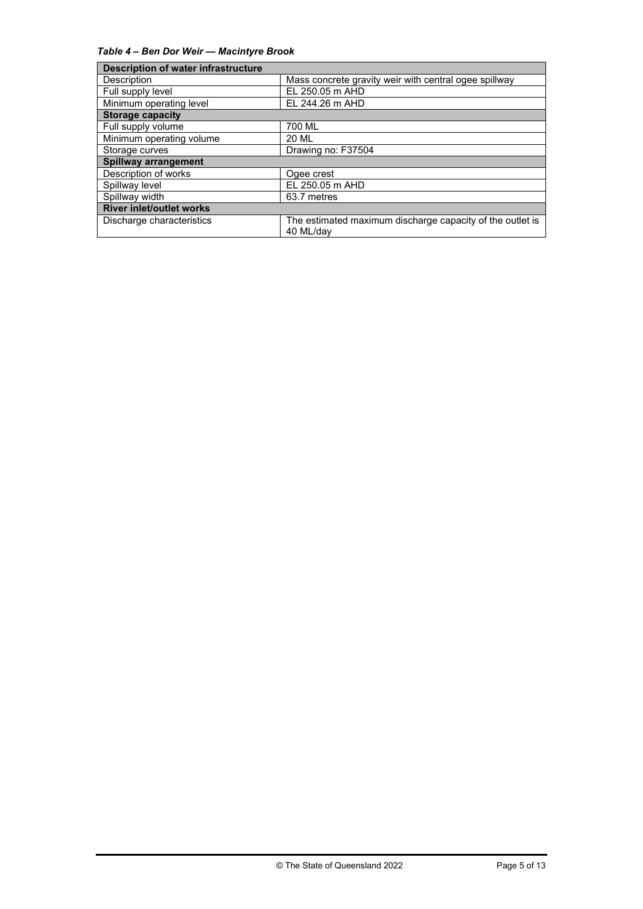*Table 4 – Ben Dor Weir — Macintyre Brook*

| <b>Description of water infrastructure</b> |                                                                        |  |
|--------------------------------------------|------------------------------------------------------------------------|--|
| Description                                | Mass concrete gravity weir with central ogee spillway                  |  |
| Full supply level                          | EL 250.05 m AHD                                                        |  |
| Minimum operating level                    | EL 244.26 m AHD                                                        |  |
| <b>Storage capacity</b>                    |                                                                        |  |
| Full supply volume                         | 700 ML                                                                 |  |
| Minimum operating volume                   | <b>20 ML</b>                                                           |  |
| Storage curves                             | Drawing no: F37504                                                     |  |
| <b>Spillway arrangement</b>                |                                                                        |  |
| Description of works                       | Ogee crest                                                             |  |
| Spillway level                             | EL 250.05 m AHD                                                        |  |
| Spillway width                             | 63.7 metres                                                            |  |
| <b>River inlet/outlet works</b>            |                                                                        |  |
| Discharge characteristics                  | The estimated maximum discharge capacity of the outlet is<br>40 ML/dav |  |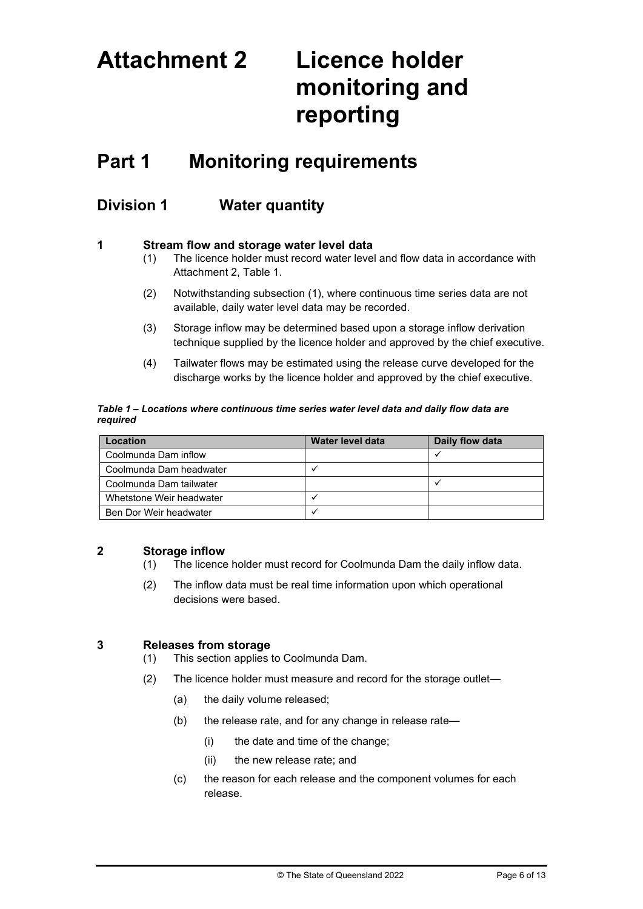# **Attachment 2 Licence holder monitoring and reporting**

# **Part 1 Monitoring requirements**

## **Division 1 Water quantity**

#### **1 Stream flow and storage water level data**

- (1) The licence holder must record water level and flow data in accordance with Attachment 2, Table 1.
- (2) Notwithstanding subsection (1), where continuous time series data are not available, daily water level data may be recorded.
- (3) Storage inflow may be determined based upon a storage inflow derivation technique supplied by the licence holder and approved by the chief executive.
- (4) Tailwater flows may be estimated using the release curve developed for the discharge works by the licence holder and approved by the chief executive.

#### *Table 1 – Locations where continuous time series water level data and daily flow data are required*

| <b>Location</b>          | Water level data | Daily flow data |
|--------------------------|------------------|-----------------|
| Coolmunda Dam inflow     |                  |                 |
| Coolmunda Dam headwater  |                  |                 |
| Coolmunda Dam tailwater  |                  |                 |
| Whetstone Weir headwater |                  |                 |
| Ben Dor Weir headwater   |                  |                 |

### **2 Storage inflow**

- (1) The licence holder must record for Coolmunda Dam the daily inflow data.
- (2) The inflow data must be real time information upon which operational decisions were based.

### **3 Releases from storage**

- (1) This section applies to Coolmunda Dam.
- (2) The licence holder must measure and record for the storage outlet—
	- (a) the daily volume released;
	- (b) the release rate, and for any change in release rate—
		- (i) the date and time of the change;
		- (ii) the new release rate; and
	- (c) the reason for each release and the component volumes for each release.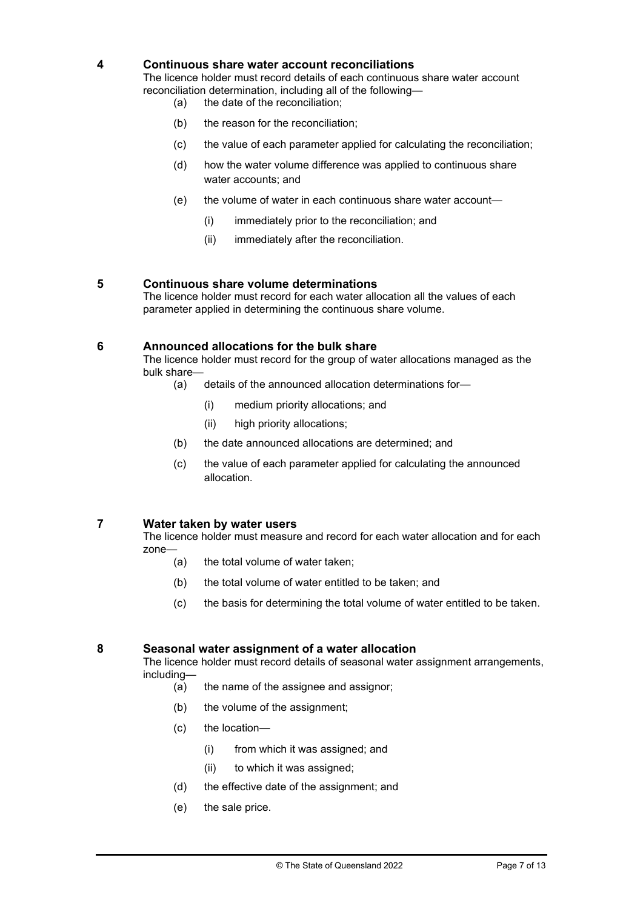#### **4 Continuous share water account reconciliations**

The licence holder must record details of each continuous share water account reconciliation determination, including all of the following—

- (a) the date of the reconciliation;
- (b) the reason for the reconciliation;
- (c) the value of each parameter applied for calculating the reconciliation;
- (d) how the water volume difference was applied to continuous share water accounts; and
- (e) the volume of water in each continuous share water account—
	- (i) immediately prior to the reconciliation; and
	- (ii) immediately after the reconciliation.

#### **5 Continuous share volume determinations**

The licence holder must record for each water allocation all the values of each parameter applied in determining the continuous share volume.

#### **6 Announced allocations for the bulk share**

The licence holder must record for the group of water allocations managed as the bulk share—

- (a) details of the announced allocation determinations for—
	- (i) medium priority allocations; and
	- (ii) high priority allocations;
- (b) the date announced allocations are determined; and
- (c) the value of each parameter applied for calculating the announced allocation.

#### **7 Water taken by water users**

The licence holder must measure and record for each water allocation and for each zone—

- (a) the total volume of water taken;
- (b) the total volume of water entitled to be taken; and
- (c) the basis for determining the total volume of water entitled to be taken.

#### **8 Seasonal water assignment of a water allocation**

The licence holder must record details of seasonal water assignment arrangements, including—

- (a) the name of the assignee and assignor;
- (b) the volume of the assignment;
- (c) the location—
	- (i) from which it was assigned; and
	- (ii) to which it was assigned;
- (d) the effective date of the assignment; and
- (e) the sale price.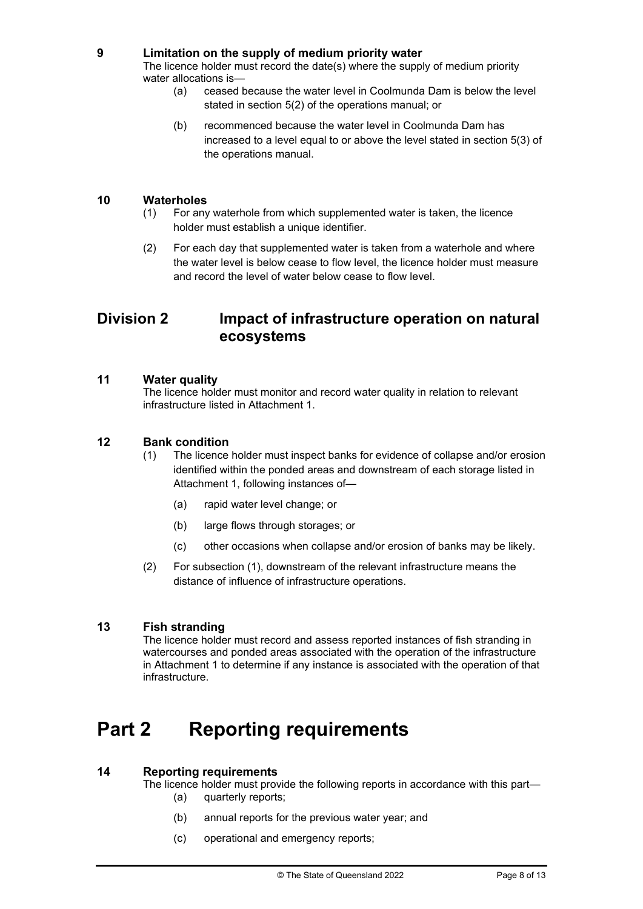#### **9 Limitation on the supply of medium priority water**

The licence holder must record the date(s) where the supply of medium priority water allocations is—

- (a) ceased because the water level in Coolmunda Dam is below the level stated in section 5(2) of the operations manual; or
- (b) recommenced because the water level in Coolmunda Dam has increased to a level equal to or above the level stated in section 5(3) of the operations manual.

#### **10 Waterholes**

- (1) For any waterhole from which supplemented water is taken, the licence holder must establish a unique identifier.
- (2) For each day that supplemented water is taken from a waterhole and where the water level is below cease to flow level, the licence holder must measure and record the level of water below cease to flow level.

### **Division 2 Impact of infrastructure operation on natural ecosystems**

#### **11 Water quality**

The licence holder must monitor and record water quality in relation to relevant infrastructure listed in Attachment 1.

#### **12 Bank condition**

- (1) The licence holder must inspect banks for evidence of collapse and/or erosion identified within the ponded areas and downstream of each storage listed in Attachment 1, following instances of—
	- (a) rapid water level change; or
	- (b) large flows through storages; or
	- (c) other occasions when collapse and/or erosion of banks may be likely.
- (2) For subsection (1), downstream of the relevant infrastructure means the distance of influence of infrastructure operations.

#### **13 Fish stranding**

The licence holder must record and assess reported instances of fish stranding in watercourses and ponded areas associated with the operation of the infrastructure in Attachment 1 to determine if any instance is associated with the operation of that infrastructure.

# **Part 2 Reporting requirements**

#### **14 Reporting requirements**

The licence holder must provide the following reports in accordance with this part—

- (a) quarterly reports;
- (b) annual reports for the previous water year; and
- (c) operational and emergency reports;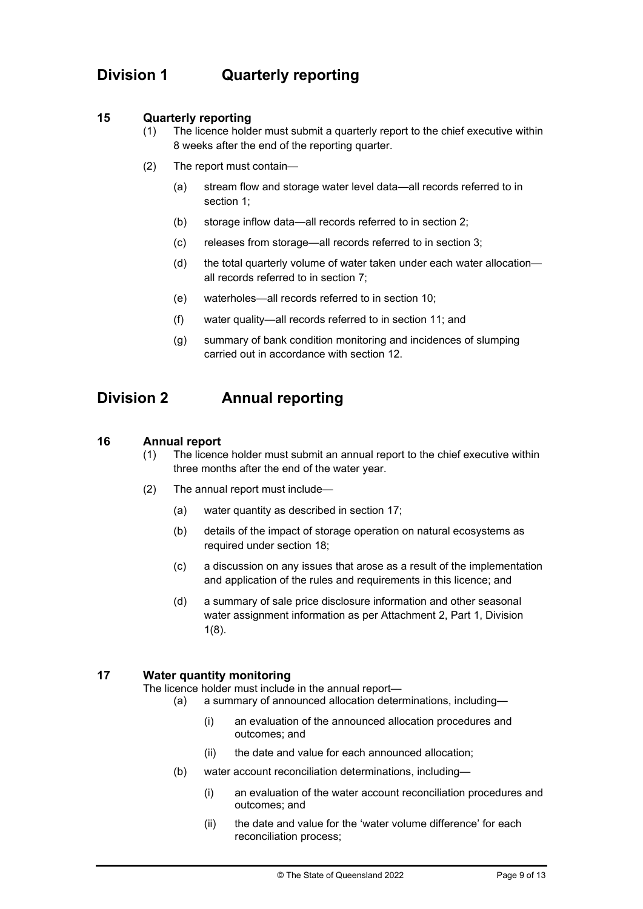# **Division 1 Quarterly reporting**

#### **15 Quarterly reporting**

- (1) The licence holder must submit a quarterly report to the chief executive within 8 weeks after the end of the reporting quarter.
- (2) The report must contain—
	- (a) stream flow and storage water level data—all records referred to in section 1;
	- (b) storage inflow data—all records referred to in section 2;
	- (c) releases from storage—all records referred to in section 3;
	- (d) the total quarterly volume of water taken under each water allocation all records referred to in section 7;
	- (e) waterholes—all records referred to in section 10;
	- (f) water quality—all records referred to in section 11; and
	- (g) summary of bank condition monitoring and incidences of slumping carried out in accordance with section 12.

# **Division 2 Annual reporting**

#### **16 Annual report**

- (1) The licence holder must submit an annual report to the chief executive within three months after the end of the water year.
- (2) The annual report must include—
	- (a) water quantity as described in section 17;
	- (b) details of the impact of storage operation on natural ecosystems as required under section 18;
	- (c) a discussion on any issues that arose as a result of the implementation and application of the rules and requirements in this licence; and
	- (d) a summary of sale price disclosure information and other seasonal water assignment information as per Attachment 2, Part 1, Division 1(8).

#### **17 Water quantity monitoring**

The licence holder must include in the annual report—

- (a) a summary of announced allocation determinations, including—
	- (i) an evaluation of the announced allocation procedures and outcomes; and
	- (ii) the date and value for each announced allocation;
- (b) water account reconciliation determinations, including—
	- (i) an evaluation of the water account reconciliation procedures and outcomes; and
	- (ii) the date and value for the 'water volume difference' for each reconciliation process;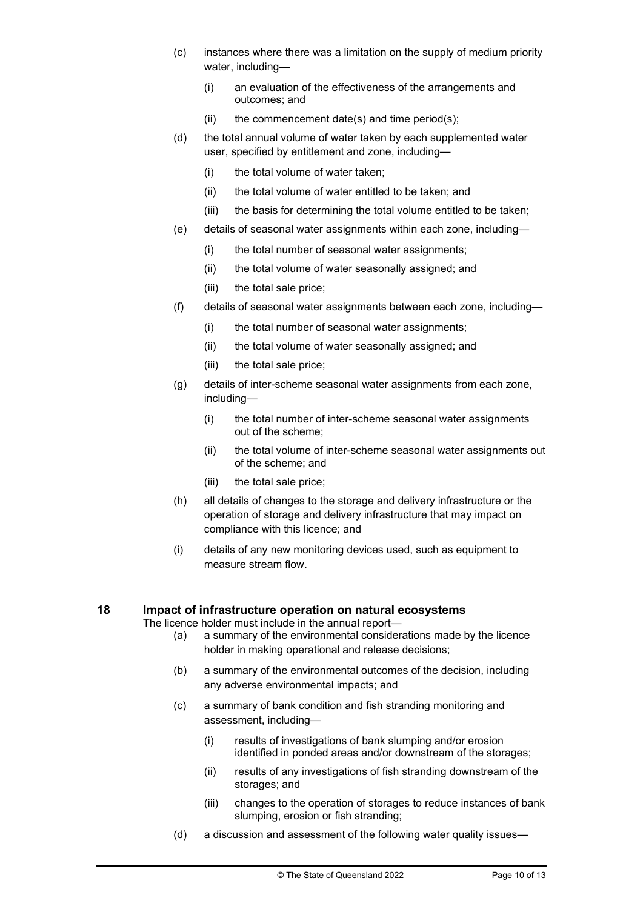- (c) instances where there was a limitation on the supply of medium priority water, including—
	- (i) an evaluation of the effectiveness of the arrangements and outcomes; and
	- $(ii)$  the commencement date(s) and time period(s);
- (d) the total annual volume of water taken by each supplemented water user, specified by entitlement and zone, including—
	- (i) the total volume of water taken;
	- (ii) the total volume of water entitled to be taken; and
	- (iii) the basis for determining the total volume entitled to be taken;
- (e) details of seasonal water assignments within each zone, including—
	- (i) the total number of seasonal water assignments;
	- (ii) the total volume of water seasonally assigned; and
	- (iii) the total sale price;
- (f) details of seasonal water assignments between each zone, including—
	- (i) the total number of seasonal water assignments;
	- (ii) the total volume of water seasonally assigned; and
	- (iii) the total sale price;
- (g) details of inter-scheme seasonal water assignments from each zone, including—
	- (i) the total number of inter-scheme seasonal water assignments out of the scheme;
	- (ii) the total volume of inter-scheme seasonal water assignments out of the scheme; and
	- (iii) the total sale price;
- (h) all details of changes to the storage and delivery infrastructure or the operation of storage and delivery infrastructure that may impact on compliance with this licence; and
- (i) details of any new monitoring devices used, such as equipment to measure stream flow.

#### **18 Impact of infrastructure operation on natural ecosystems**

The licence holder must include in the annual report—

- (a) a summary of the environmental considerations made by the licence holder in making operational and release decisions;
- (b) a summary of the environmental outcomes of the decision, including any adverse environmental impacts; and
- (c) a summary of bank condition and fish stranding monitoring and assessment, including—
	- (i) results of investigations of bank slumping and/or erosion identified in ponded areas and/or downstream of the storages;
	- (ii) results of any investigations of fish stranding downstream of the storages; and
	- (iii) changes to the operation of storages to reduce instances of bank slumping, erosion or fish stranding;
- (d) a discussion and assessment of the following water quality issues—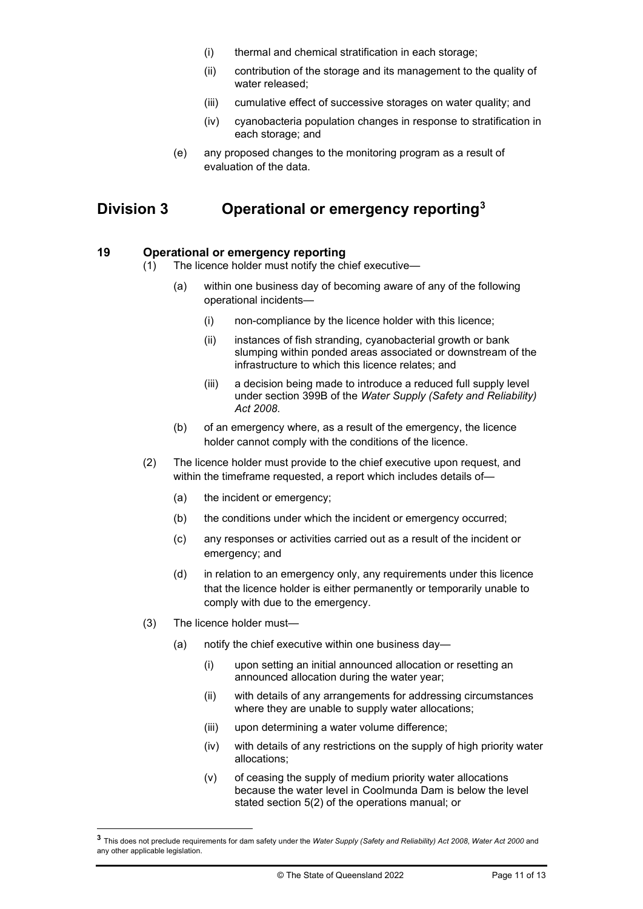- (i) thermal and chemical stratification in each storage;
- (ii) contribution of the storage and its management to the quality of water released;
- (iii) cumulative effect of successive storages on water quality; and
- (iv) cyanobacteria population changes in response to stratification in each storage; and
- (e) any proposed changes to the monitoring program as a result of evaluation of the data.

## **Division 3 Operational or emergency reporting[3](#page-10-0)**

#### **19 Operational or emergency reporting**

- (1) The licence holder must notify the chief executive—
	- (a) within one business day of becoming aware of any of the following operational incidents—
		- (i) non-compliance by the licence holder with this licence;
		- (ii) instances of fish stranding, cyanobacterial growth or bank slumping within ponded areas associated or downstream of the infrastructure to which this licence relates; and
		- (iii) a decision being made to introduce a reduced full supply level under section 399B of the *Water Supply (Safety and Reliability) Act 2008*.
	- (b) of an emergency where, as a result of the emergency, the licence holder cannot comply with the conditions of the licence.
- (2) The licence holder must provide to the chief executive upon request, and within the timeframe requested, a report which includes details of—
	- (a) the incident or emergency;
	- (b) the conditions under which the incident or emergency occurred;
	- (c) any responses or activities carried out as a result of the incident or emergency; and
	- (d) in relation to an emergency only, any requirements under this licence that the licence holder is either permanently or temporarily unable to comply with due to the emergency.
- (3) The licence holder must—
	- (a) notify the chief executive within one business day—
		- (i) upon setting an initial announced allocation or resetting an announced allocation during the water year;
		- (ii) with details of any arrangements for addressing circumstances where they are unable to supply water allocations;
		- (iii) upon determining a water volume difference;
		- (iv) with details of any restrictions on the supply of high priority water allocations;
		- (v) of ceasing the supply of medium priority water allocations because the water level in Coolmunda Dam is below the level stated section 5(2) of the operations manual; or

<span id="page-10-0"></span>**<sup>3</sup>** This does not preclude requirements for dam safety under the *Water Supply (Safety and Reliability) Act 2008*, *Water Act 2000* and any other applicable legislation.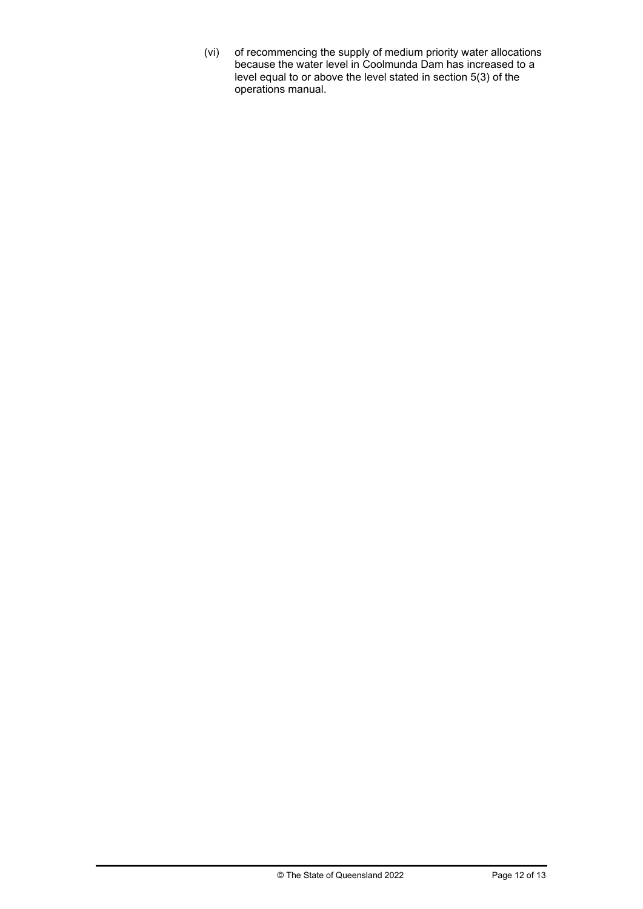(vi) of recommencing the supply of medium priority water allocations because the water level in Coolmunda Dam has increased to a level equal to or above the level stated in section 5(3) of the operations manual.